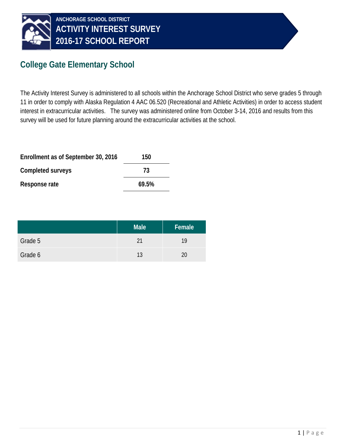

### **College Gate Elementary School**

The Activity Interest Survey is administered to all schools within the Anchorage School District who serve grades 5 through 11 in order to comply with Alaska Regulation 4 AAC 06.520 (Recreational and Athletic Activities) in order to access student interest in extracurricular activities. The survey was administered online from October 3-14, 2016 and results from this survey will be used for future planning around the extracurricular activities at the school.

| Enrollment as of September 30, 2016 | 150   |
|-------------------------------------|-------|
| Completed surveys                   | 73    |
| Response rate                       | 69.5% |

|         | <b>Male</b> | Female |
|---------|-------------|--------|
| Grade 5 | 21          | 19     |
| Grade 6 | 13          | 20     |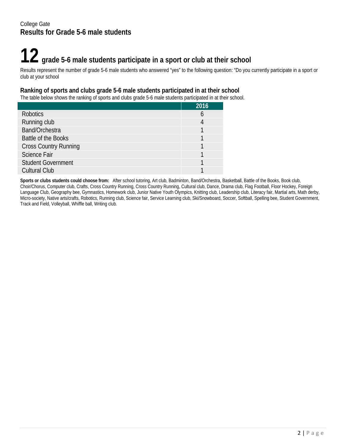# **12 grade 5-6 male students participate in a sport or club at their school**

Results represent the number of grade 5-6 male students who answered "yes" to the following question: "Do you currently participate in a sport or club at your school

#### **Ranking of sports and clubs grade 5-6 male students participated in at their school**

The table below shows the ranking of sports and clubs grade 5-6 male students participated in at their school.

|                              | 2016 |
|------------------------------|------|
| <b>Robotics</b>              | n    |
| Running club                 |      |
| Band/Orchestra               |      |
| Battle of the Books          |      |
| <b>Cross Country Running</b> |      |
| <b>Science Fair</b>          |      |
| <b>Student Government</b>    |      |
| <b>Cultural Club</b>         |      |

**Sports or clubs students could choose from:** After school tutoring, Art club, Badminton, Band/Orchestra, Basketball, Battle of the Books, Book club, Choir/Chorus, Computer club, Crafts, Cross Country Running, Cross Country Running, Cultural club, Dance, Drama club, Flag Football, Floor Hockey, Foreign Language Club, Geography bee, Gymnastics, Homework club, Junior Native Youth Olympics, Knitting club, Leadership club, Literacy fair, Martial arts, Math derby, Micro-society, Native arts/crafts, Robotics, Running club, Science fair, Service Learning club, Ski/Snowboard, Soccer, Softball, Spelling bee, Student Government, Track and Field, Volleyball, Whiffle ball, Writing club.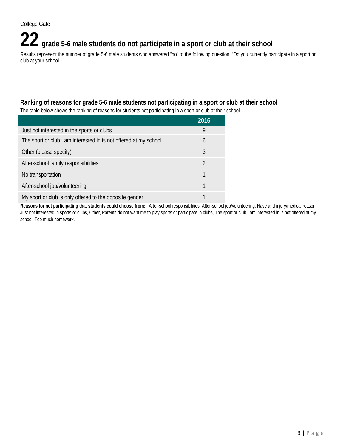## **22 grade 5-6 male students do not participate in a sport or club at their school**

Results represent the number of grade 5-6 male students who answered "no" to the following question: "Do you currently participate in a sport or club at your school

#### **Ranking of reasons for grade 5-6 male students not participating in a sport or club at their school**

The table below shows the ranking of reasons for students not participating in a sport or club at their school.

|                                                                  | 2016           |
|------------------------------------------------------------------|----------------|
| Just not interested in the sports or clubs                       | 9              |
| The sport or club I am interested in is not offered at my school | 6              |
| Other (please specify)                                           | 3              |
| After-school family responsibilities                             | $\mathfrak{D}$ |
| No transportation                                                |                |
| After-school job/volunteering                                    |                |
| My sport or club is only offered to the opposite gender          |                |

**Reasons for not participating that students could choose from:** After-school responsibilities, After-school job/volunteering, Have and injury/medical reason, Just not interested in sports or clubs, Other, Parents do not want me to play sports or participate in clubs, The sport or club I am interested in is not offered at my school, Too much homework.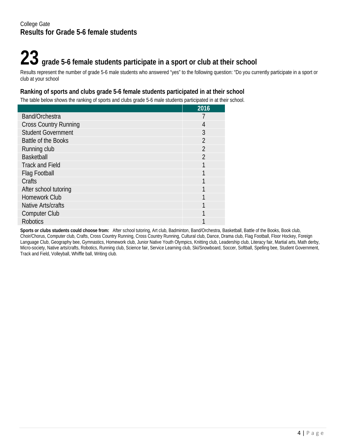## **23 grade 5-6 female students participate in a sport or club at their school**

Results represent the number of grade 5-6 male students who answered "yes" to the following question: "Do you currently participate in a sport or club at your school

#### **Ranking of sports and clubs grade 5-6 female students participated in at their school**

The table below shows the ranking of sports and clubs grade 5-6 male students participated in at their school.

|                              | 2016           |
|------------------------------|----------------|
| Band/Orchestra               |                |
| <b>Cross Country Running</b> | 4              |
| <b>Student Government</b>    | 3              |
| Battle of the Books          | $\overline{2}$ |
| Running club                 | $\overline{2}$ |
| <b>Basketball</b>            | $\overline{2}$ |
| <b>Track and Field</b>       |                |
| Flag Football                |                |
| Crafts                       |                |
| After school tutoring        |                |
| <b>Homework Club</b>         |                |
| Native Arts/crafts           |                |
| <b>Computer Club</b>         |                |
| <b>Robotics</b>              |                |

**Sports or clubs students could choose from:** After school tutoring, Art club, Badminton, Band/Orchestra, Basketball, Battle of the Books, Book club, Choir/Chorus, Computer club, Crafts, Cross Country Running, Cross Country Running, Cultural club, Dance, Drama club, Flag Football, Floor Hockey, Foreign Language Club, Geography bee, Gymnastics, Homework club, Junior Native Youth Olympics, Knitting club, Leadership club, Literacy fair, Martial arts, Math derby, Micro-society, Native arts/crafts, Robotics, Running club, Science fair, Service Learning club, Ski/Snowboard, Soccer, Softball, Spelling bee, Student Government, Track and Field, Volleyball, Whiffle ball, Writing club.